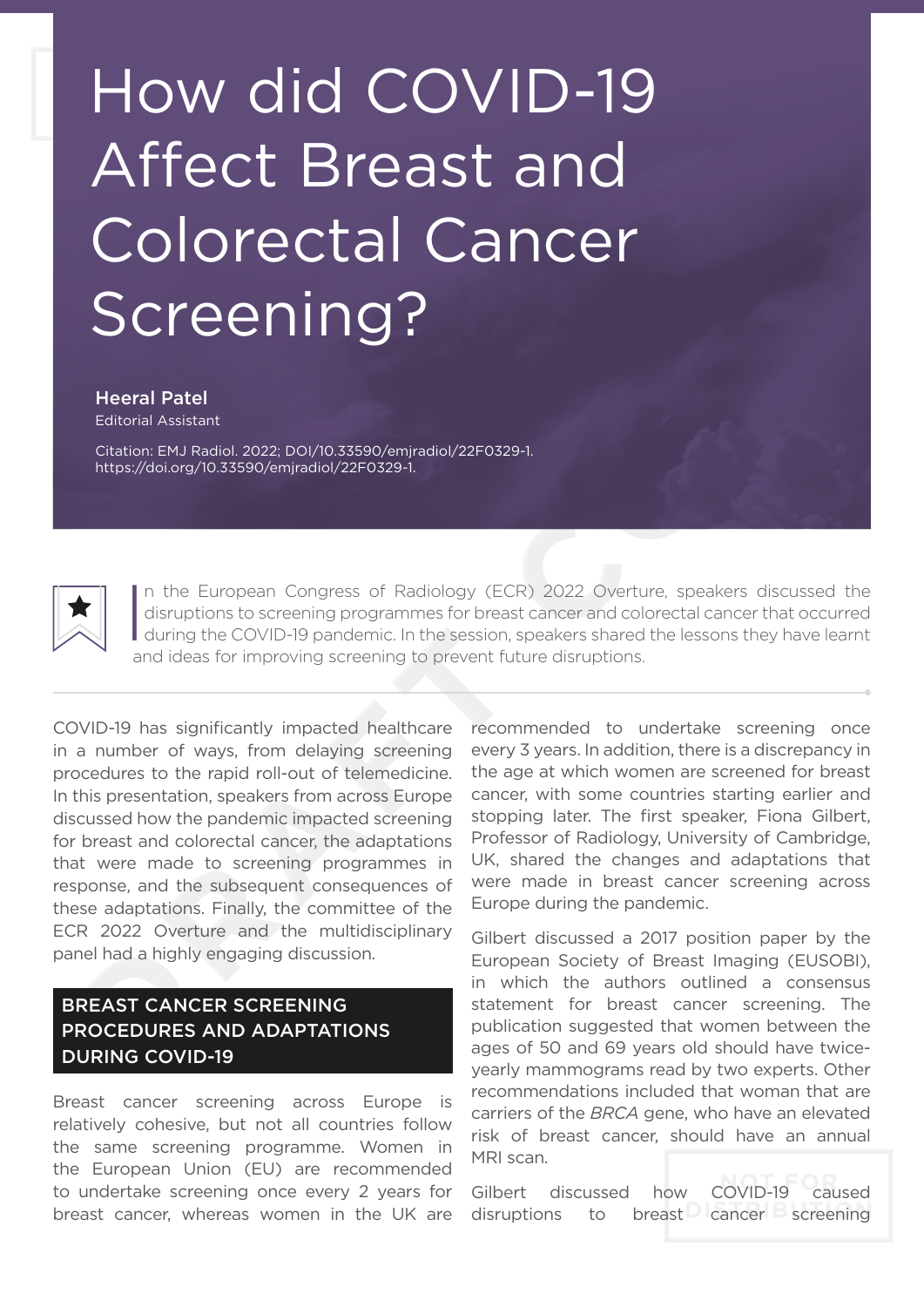## How did COVID-19 Affect Breast and Colorectal Cancer Screening?

Heeral Patel

Editorial Assistant

Citation: EMJ Radiol. 2022; DOI/10.33590/emjradiol/22F0329-1. https://doi.org/10.33590/emjradiol/22F0329-1.



In the European Congress of Radiology (ECR) 2022 Overture, speakers discussed the disruptions to screening programmes for breast cancer and colorectal cancer that occurred during the COVID-19 pandemic. In the session, spea n the European Congress of Radiology (ECR) 2022 Overture, speakers discussed the disruptions to screening programmes for breast cancer and colorectal cancer that occurred and ideas for improving screening to prevent future disruptions.

COVID-19 has significantly impacted healthcare in a number of ways, from delaying screening procedures to the rapid roll-out of telemedicine. In this presentation, speakers from across Europe discussed how the pandemic impacted screening for breast and colorectal cancer, the adaptations that were made to screening programmes in response, and the subsequent consequences of these adaptations. Finally, the committee of the ECR 2022 Overture and the multidisciplinary panel had a highly engaging discussion.

## BREAST CANCER SCREENING PROCEDURES AND ADAPTATIONS DURING COVID-19

Breast cancer screening across Europe is relatively cohesive, but not all countries follow the same screening programme. Women in the European Union (EU) are recommended to undertake screening once every 2 years for breast cancer, whereas women in the UK are

recommended to undertake screening once every 3 years. In addition, there is a discrepancy in the age at which women are screened for breast cancer, with some countries starting earlier and stopping later. The first speaker, Fiona Gilbert, Professor of Radiology, University of Cambridge, UK, shared the changes and adaptations that were made in breast cancer screening across Europe during the pandemic.

Gilbert discussed a 2017 position paper by the European Society of Breast Imaging (EUSOBI), in which the authors outlined a consensus statement for breast cancer screening. The publication suggested that women between the ages of 50 and 69 years old should have twiceyearly mammograms read by two experts. Other recommendations included that woman that are carriers of the *BRCA* gene, who have an elevated risk of breast cancer, should have an annual MRI scan.

Gilbert discussed how COVID-19 caused disruptions to breast cancer screening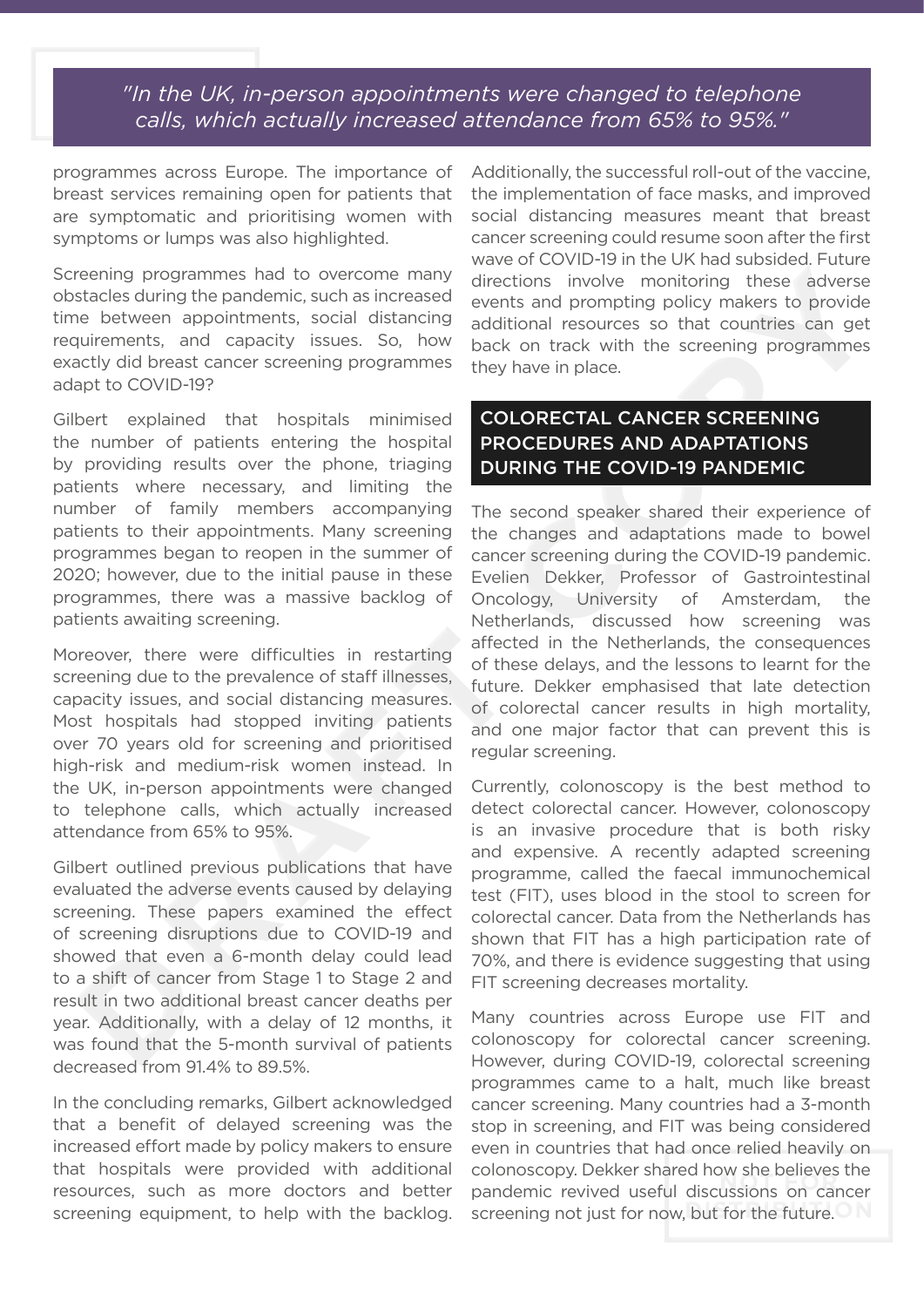*"In the UK, in-person appointments were changed to telephone calls, which actually increased attendance from 65% to 95%."*

programmes across Europe. The importance of breast services remaining open for patients that are symptomatic and prioritising women with symptoms or lumps was also highlighted.

Screening programmes had to overcome many obstacles during the pandemic, such as increased time between appointments, social distancing requirements, and capacity issues. So, how exactly did breast cancer screening programmes adapt to COVID-19?

Gilbert explained that hospitals minimised the number of patients entering the hospital by providing results over the phone, triaging patients where necessary, and limiting the number of family members accompanying patients to their appointments. Many screening programmes began to reopen in the summer of 2020; however, due to the initial pause in these programmes, there was a massive backlog of patients awaiting screening.

Moreover, there were difficulties in restarting screening due to the prevalence of staff illnesses, capacity issues, and social distancing measures. Most hospitals had stopped inviting patients over 70 years old for screening and prioritised high-risk and medium-risk women instead. In the UK, in-person appointments were changed to telephone calls, which actually increased attendance from 65% to 95%.

Gilbert outlined previous publications that have evaluated the adverse events caused by delaying screening. These papers examined the effect of screening disruptions due to COVID-19 and showed that even a 6-month delay could lead to a shift of cancer from Stage 1 to Stage 2 and result in two additional breast cancer deaths per year. Additionally, with a delay of 12 months, it was found that the 5-month survival of patients decreased from 91.4% to 89.5%.

In the concluding remarks, Gilbert acknowledged that a benefit of delayed screening was the increased effort made by policy makers to ensure that hospitals were provided with additional resources, such as more doctors and better screening equipment, to help with the backlog. Additionally, the successful roll-out of the vaccine, the implementation of face masks, and improved social distancing measures meant that breast cancer screening could resume soon after the first wave of COVID-19 in the UK had subsided. Future directions involve monitoring these adverse events and prompting policy makers to provide additional resources so that countries can get back on track with the screening programmes they have in place.

## COLORECTAL CANCER SCREENING PROCEDURES AND ADAPTATIONS DURING THE COVID-19 PANDEMIC

The second speaker shared their experience of the changes and adaptations made to bowel cancer screening during the COVID-19 pandemic. Evelien Dekker, Professor of Gastrointestinal Oncology, University of Amsterdam, the Netherlands, discussed how screening was affected in the Netherlands, the consequences of these delays, and the lessons to learnt for the future. Dekker emphasised that late detection of colorectal cancer results in high mortality, and one major factor that can prevent this is regular screening.

Currently, colonoscopy is the best method to detect colorectal cancer. However, colonoscopy is an invasive procedure that is both risky and expensive. A recently adapted screening programme, called the faecal immunochemical test (FIT), uses blood in the stool to screen for colorectal cancer. Data from the Netherlands has shown that FIT has a high participation rate of 70%, and there is evidence suggesting that using FIT screening decreases mortality.

Many countries across Europe use FIT and colonoscopy for colorectal cancer screening. However, during COVID-19, colorectal screening programmes came to a halt, much like breast cancer screening. Many countries had a 3-month stop in screening, and FIT was being considered even in countries that had once relied heavily on colonoscopy. Dekker shared how she believes the pandemic revived useful discussions on cancer screening not just for now, but for the future.